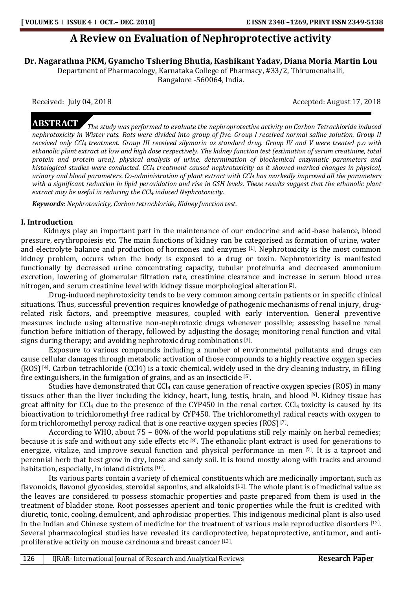# **A Review on Evaluation of Nephroprotective activity**

**Dr. Nagarathna PKM, Gyamcho Tshering Bhutia, Kashikant Yadav, Diana Moria Martin Lou**

Department of Pharmacology, Karnataka College of Pharmacy, #33/2, Thirumenahalli, Bangalore -560064, India.

Received: July 04, 2018 **Accepted: August 17, 2018** Accepted: August 17, 2018

**ABSTRACT** *The study was performed to evaluate the nephroprotective activity on Carbon Tetrachloride induced nephrotoxicity in Wister rats. Rats were divided into group of five. Group I received normal saline solution. Group II received only CCl<sup>4</sup> treatment. Group III received silymarin as standard drug. Group IV and V were treated p.o with ethanolic plant extract at low and high dose respectively. The kidney function test (estimation of serum creatinine, total protein and protein urea), physical analysis of urine, determination of biochemical enzymatic parameters and histological studies were conducted. CCl<sup>4</sup> treatment caused nephrotoxicity as it showed marked changes in physical, urinary and blood parameters. Co-administration of plant extract with CCl<sup>4</sup> has markedly improved all the parameters with a significant reduction in lipid peroxidation and rise in GSH levels. These results suggest that the ethanolic plant extract may be useful in reducing the CCl<sup>4</sup> induced Nephrotoxicity.*

*Keywords: Nephrotoxicity, Carbon tetrachloride, Kidney function test.*

# **I. Introduction**

 Kidneys play an important part in the maintenance of our endocrine and acid-base balance, blood pressure, erythropoiesis etc. The main functions of kidney can be categorised as formation of urine, water and electrolyte balance and production of hormones and enzymes [1]. Nephrotoxicity is the most common kidney problem, occurs when the body is exposed to a drug or toxin. Nephrotoxicity is manifested functionally by decreased urine concentrating capacity, tubular proteinuria and decreased ammonium excretion, lowering of glomerular filtration rate, creatinine clearance and increase in serum blood urea nitrogen, and serum creatinine level with kidney tissue morphological alteration<sup>[2]</sup>.

Drug-induced nephrotoxicity tends to be very common among certain patients or in specific clinical situations. Thus, successful prevention requires knowledge of pathogenic mechanisms of renal injury, drugrelated risk factors, and preemptive measures, coupled with early intervention. General preventive measures include using alternative non-nephrotoxic drugs whenever possible; assessing baseline renal function before initiation of therapy, followed by adjusting the dosage; monitoring renal function and vital signs during therapy; and avoiding nephrotoxic drug combinations [3].

Exposure to various compounds including a number of environmental pollutants and drugs can cause cellular damages through metabolic activation of those compounds to a highly reactive oxygen species (ROS) [4] . Carbon tetrachloride (CCl4) is a toxic chemical, widely used in the dry cleaning industry, in filling fire extinguishers, in the fumigation of grains, and as an insecticide [5].

Studies have demonstrated that  $CCl_4$  can cause generation of reactive oxygen species (ROS) in many tissues other than the liver including the kidney, heart, lung, testis, brain, and blood [6]. Kidney tissue has great affinity for CCl<sub>4</sub> due to the presence of the CYP450 in the renal cortex. CCl<sub>4</sub> toxicity is caused by its bioactivation to trichloromethyl free radical by CYP450. The trichloromethyl radical reacts with oxygen to form trichloromethyl peroxy radical that is one reactive oxygen species (ROS)<sup>[7]</sup>.

According to WHO, about 75 – 80% of the world populations still rely mainly on herbal remedies; because it is safe and without any side effects etc <sup>[8]</sup>. The ethanolic plant extract is used for generations to energize, vitalize, and improve sexual function and physical performance in men [9]. It is a taproot and perennial herb that best grow in dry, loose and sandy soil. It is found mostly along with tracks and around habitation, especially, in inland districts [10].

Its various parts contain a variety of chemical constituents which are medicinally important, such as flavonoids, flavonol glycosides, steroidal saponins, and alkaloids [11]. The whole plant is of medicinal value as the leaves are considered to possess stomachic properties and paste prepared from them is used in the treatment of bladder stone. Root possesses aperient and tonic properties while the fruit is credited with diuretic, tonic, cooling, demulcent, and aphrodisiac properties. This indigenous medicinal plant is also used in the Indian and Chinese system of medicine for the treatment of various male reproductive disorders [12]. Several pharmacological studies have revealed its cardioprotective, hepatoprotective, antitumor, and antiproliferative activity on mouse carcinoma and breast cancer [13].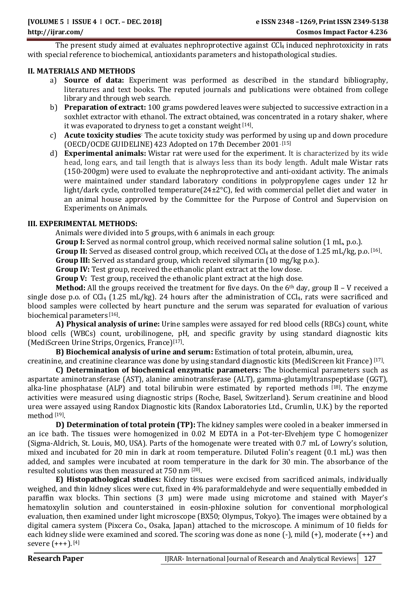The present study aimed at evaluates nephroprotective against CCl<sub>4</sub> induced nephrotoxicity in rats with special reference to biochemical, antioxidants parameters and histopathological studies.

# **II. MATERIALS AND METHODS**

- a) **Source of data:** Experiment was performed as described in the standard bibliography, literatures and text books. The reputed journals and publications were obtained from college library and through web search.
- b) **Preparation of extract:** 100 grams powdered leaves were subjected to successive extraction in a soxhlet extractor with ethanol. The extract obtained, was concentrated in a rotary shaker, where it was evaporated to dryness to get a constant weight [14].
- c) **Acute toxicity studies**: The acute toxicity study was performed by using up and down procedure (OECD/OCDE GUIDELINE) 423 Adopted on 17th December 2001. [15]
- d) **Experimental animals:** Wistar rat were used for the experiment. It is characterized by its wide head, long ears, and tail length that is always less than its body length. Adult male Wistar rats (150-200gm) were used to evaluate the nephroprotective and anti-oxidant activity. The animals were maintained under standard laboratory conditions in polypropylene cages under 12 hr light/dark cycle, controlled temperature(24±2°C), fed with commercial pellet diet and water in an animal house approved by the Committee for the Purpose of Control and Supervision on Experiments on Animals.

# **III. EXPERIMENTAL METHODS:**

Animals were divided into 5 groups, with 6 animals in each group:

**Group I:** Served as normal control group, which received normal saline solution (1 mL, p.o.).

Group II: Served as diseased control group, which received CCl<sub>4</sub> at the dose of 1.25 mL/kg, p.o.<sup>[16]</sup>.

**Group III:** Served as standard group, which received silymarin (10 mg/kg p.o.).

**Group IV:** Test group, received the ethanolic plant extract at the low dose.

**Group V:** Test group, received the ethanolic plant extract at the high dose.

**Method:** All the groups received the treatment for five days. On the 6th day, group II – V received a single dose p.o. of CCl<sub>4</sub> (1.25 mL/kg). 24 hours after the administration of CCl<sub>4</sub>, rats were sacrificed and blood samples were collected by heart puncture and the serum was separated for evaluation of various biochemical parameters [16].

**A) Physical analysis of urine:** Urine samples were assayed for red blood cells (RBCs) count, white blood cells (WBCs) count, urobilinogene, pH, and specific gravity by using standard diagnostic kits (MediScreen Urine Strips, Orgenics, France)[17] .

**B) Biochemical analysis of urine and serum:** Estimation of total protein, albumin, urea,

creatinine, and creatinine clearance was done by using standard diagnostic kits (MediScreen kit France)<sup>[17]</sup>.

**C) Determination of biochemical enzymatic parameters:** The biochemical parameters such as aspartate aminotransferase (AST), alanine aminotransferase (ALT), gamma-glutamyltranspeptidase (GGT), alka-line phosphatase (ALP) and total bilirubin were estimated by reported methods [18]. The enzyme activities were measured using diagnostic strips (Roche, Basel, Switzerland). Serum creatinine and blood urea were assayed using Randox Diagnostic kits (Randox Laboratories Ltd., Crumlin, U.K.) by the reported method [19] .

**D) Determination of total protein (TP):** The kidney samples were cooled in a beaker immersed in an ice bath. The tissues were homogenized in 0.02 M EDTA in a Pot-ter-Elvehjem type C homogenizer (Sigma-Aldrich, St. Louis, MO, USA). Parts of the homogenate were treated with 0.7 mL of Lowry's solution, mixed and incubated for 20 min in dark at room temperature. Diluted Folin's reagent (0.1 mL) was then added, and samples were incubated at room temperature in the dark for 30 min. The absorbance of the resulted solutions was then measured at 750 nm [20] .

**E) Histopathological studies:** Kidney tissues were excised from sacrificed animals, individually weighed, and thin kidney slices were cut, fixed in 4% paraformaldehyde and were sequentially embedded in paraffin wax blocks. Thin sections (3 μm) were made using microtome and stained with Mayer's hematoxylin solution and counterstained in eosin-phloxine solution for conventional morphological evaluation, then examined under light microscope (BX50; Olympus, Tokyo). The images were obtained by a digital camera system (Pixcera Co., Osaka, Japan) attached to the microscope. A minimum of 10 fields for each kidney slide were examined and scored. The scoring was done as none  $(-)$ , mild  $(+)$ , moderate  $(+)$  and severe (+++). [4]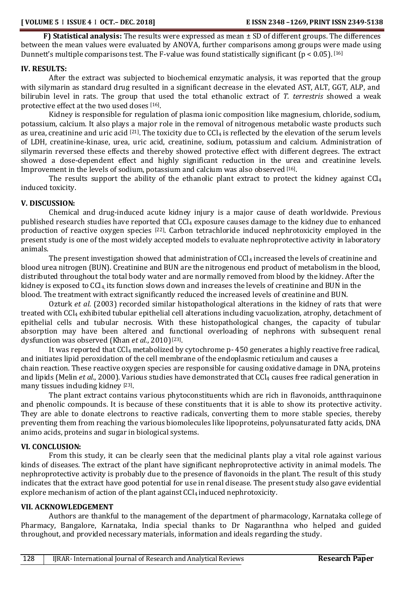**F) Statistical analysis:** The results were expressed as mean ± SD of different groups. The differences between the mean values were evaluated by ANOVA, further comparisons among groups were made using Dunnett's multiple comparisons test. The F-value was found statistically significant ( $p < 0.05$ ). [16]

#### **IV. RESULTS:**

After the extract was subjected to biochemical enzymatic analysis, it was reported that the group with silymarin as standard drug resulted in a significant decrease in the elevated AST, ALT, GGT, ALP, and bilirubin level in rats. The group that used the total ethanolic extract of *T. terrestris* showed a weak protective effect at the two used doses [16].

Kidney is responsible for regulation of plasma ionic composition like magnesium, chloride, sodium, potassium, calcium. It also plays a major role in the removal of nitrogenous metabolic waste products such as urea, creatinine and uric acid  $^{[21]}$ . The toxicity due to CCl<sub>4</sub> is reflected by the elevation of the serum levels of LDH, creatinine-kinase, urea, uric acid, creatinine, sodium, potassium and calcium. Administration of silymarin reversed these effects and thereby showed protective effect with different degrees. The extract showed a dose-dependent effect and highly significant reduction in the urea and creatinine levels. Improvement in the levels of sodium, potassium and calcium was also observed <a>[16]</a>.

The results support the ability of the ethanolic plant extract to protect the kidney against  $CCl<sub>4</sub>$ induced toxicity.

# **V. DISCUSSION:**

Chemical and drug-induced acute kidney injury is a major cause of death worldwide. Previous published research studies have reported that CCl<sub>4</sub> exposure causes damage to the kidney due to enhanced production of reactive oxygen species <sup>[22]</sup>. Carbon tetrachloride induced nephrotoxicity employed in the present study is one of the most widely accepted models to evaluate nephroprotective activity in laboratory animals.

The present investigation showed that administration of  $CCl<sub>4</sub>$  increased the levels of creatinine and blood urea nitrogen (BUN). Creatinine and BUN are the nitrogenous end product of metabolism in the blood, distributed throughout the total body water and are normally removed from blood by the kidney. After the kidney is exposed to CCl<sub>4</sub>, its function slows down and increases the levels of creatinine and BUN in the blood. The treatment with extract significantly reduced the increased levels of creatinine and BUN.

Ozturk *et al.* (2003) recorded similar histopathological alterations in the kidney of rats that were treated with CCl<sup>4</sup> exhibited tubular epithelial cell alterations including vacuolization, atrophy, detachment of epithelial cells and tubular necrosis. With these histopathological changes, the capacity of tubular absorption may have been altered and functional overloading of nephrons with subsequent renal dysfunction was observed (Khan et al., 2010)<sup>[23]</sup>.

It was reported that CCl<sub>4</sub> metabolized by cytochrome p-450 generates a highly reactive free radical, and initiates lipid peroxidation of the cell membrane of the endoplasmic reticulum and causes a chain reaction. These reactive oxygen species are responsible for causing oxidative damage in DNA, proteins and lipids (Melin *et al.*, 2000). Various studies have demonstrated that CCl<sub>4</sub> causes free radical generation in many tissues including kidney [23].

The plant extract contains various phytoconstituents which are rich in flavonoids, antthraquinone and phenolic compounds. It is because of these constituents that it is able to show its protective activity. They are able to donate electrons to reactive radicals, converting them to more stable species, thereby preventing them from reaching the various biomolecules like lipoproteins, polyunsaturated fatty acids, DNA animo acids, proteins and sugar in biological systems.

# **VI. CONCLUSION:**

From this study, it can be clearly seen that the medicinal plants play a vital role against various kinds of diseases. The extract of the plant have significant nephroprotective activity in animal models. The nephroprotective activity is probably due to the presence of flavonoids in the plant. The result of this study indicates that the extract have good potential for use in renal disease. The present study also gave evidential explore mechanism of action of the plant against CCl<sub>4</sub> induced nephrotoxicity.

# **VII. ACKNOWLEDGEMENT**

Authors are thankful to the management of the department of pharmacology, Karnataka college of Pharmacy, Bangalore, Karnataka, India special thanks to Dr Nagaranthna who helped and guided throughout, and provided necessary materials, information and ideals regarding the study.